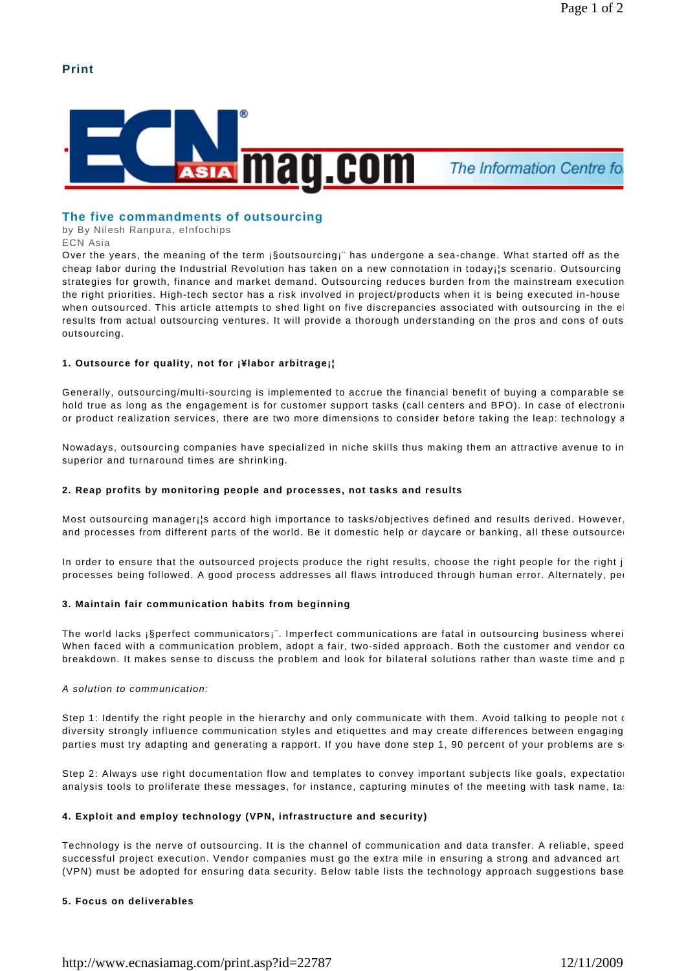# **Print**



# **The five commandments of outsourcing**

by By Nilesh Ranpura, eInfochips

ECN Asia

Over the years, the meaning of the term ¡§outsourcing¡" has undergone a sea-change. What started off as the cheap labor during the Industrial Revolution has taken on a new connotation in today; is scenario. Outsourcing strategies for growth, finance and market demand. Outsourcing reduces burden from the mainstream execution the right priorities. High-tech sector has a risk involved in project/products when it is being executed in-house when outsourced. This article attempts to shed light on five discrepancies associated with outsourcing in the el results from actual outsourcing ventures. It will provide a thorough understanding on the pros and cons of outs outsourcing.

## **1. Outsource for quality, not for ¡¥labor arbitrage¡¦**

Generally, outsourcing/multi-sourcing is implemented to accrue the financial benefit of buying a comparable se hold true as long as the engagement is for customer support tasks (call centers and BPO). In case of electronic or product realization services, there are two more dimensions to consider before taking the leap: technology a

Nowadays, outsourcing companies have specialized in niche skills thus making them an attractive avenue to in superior and turnaround times are shrinking.

### **2. Reap profits by monitoring people and processes, not tasks and results**

Most outsourcing manager; is accord high importance to tasks/objectives defined and results derived. However, and processes from different parts of the world. Be it domestic help or daycare or banking, all these outsource

In order to ensure that the outsourced projects produce the right results, choose the right people for the right j processes being followed. A good process addresses all flaws introduced through human error. Alternately, per

### **3. Maintain fair communication habits from beginning**

The world lacks ¡§perfect communicators¡". Imperfect communications are fatal in outsourcing business wherei When faced with a communication problem, adopt a fair, two-sided approach. Both the customer and vendor co breakdown. It makes sense to discuss the problem and look for bilateral solutions rather than waste time and p

### A solution to communication:

Step 1: Identify the right people in the hierarchy and only communicate with them. Avoid talking to people not  $\epsilon$ diversity strongly influence communication styles and etiquettes and may create differences between engaging parties must try adapting and generating a rapport. If you have done step 1, 90 percent of your problems are  $s_1$ 

Step 2: Always use right documentation flow and templates to convey important subjects like goals, expectation analysis tools to proliferate these messages, for instance, capturing minutes of the meeting with task name, tas

## **4. Exploit and employ technology (VPN, infrastructure and security)**

Technology is the nerve of outsourcing. It is the channel of communication and data transfer. A reliable, speed successful project execution. Vendor companies must go the extra mile in ensuring a strong and advanced art (VPN) must be adopted for ensuring data security. Below table lists the technology approach suggestions base

### **5. Focus on deliverables**